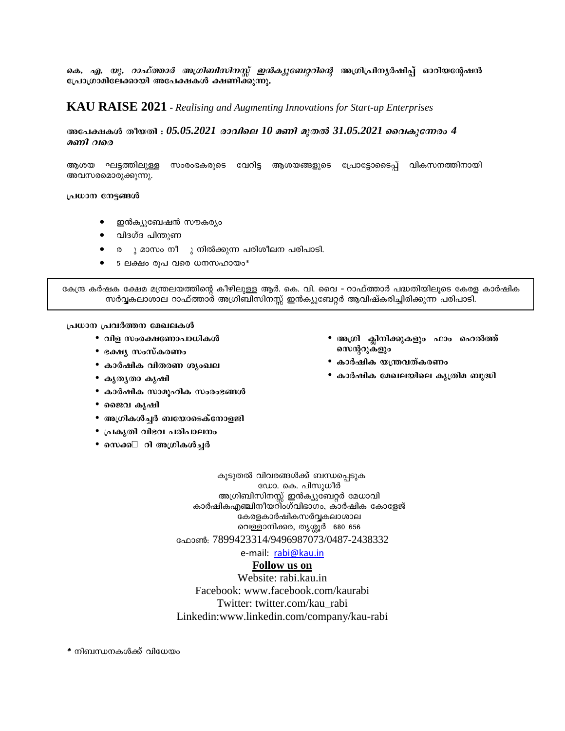കെ. *എ. യു. റാഫ്ത്താർ അഗ്രിബിസിനസ്സ് ഇൻക്യുബേറ്ററിന്റെ* അഗ്രിപ്രിന്യർഷിപ്പ് ഓറിയന്റേഷൻ പ്രോഗ്രാമിലേക്കായി അപേക്ഷകൾ ക്ഷണിക്കുന്നു.

# **KAU RAISE 2021** - Realising and Augmenting Innovations for Start-up Enterprises

### അപേക്ഷകൾ തീയതി :  $05.05.2021$  *രാവിലെ*  $10$  *മണി മുതൽ 3* $1.05.2021$  *വൈകുന്നേരം 4* മണി വരെ

ആശയ ഘട്ടത്തിലുള്ള സംരംഭകരുടെ വേറിട്ട ആശയങ്ങളുടെ പ്രോടോടൈപ് വികസനത്തിനായി അവസരമൊരുക്കുന്നു.

#### പ്രധാന നേട്ടങ്ങൾ

- ഇൻക്യുബേഷൻ സൗകര്യം
- വിദഗ്ദ പിന്തുണ
- ര ു മാസം നീ ു നിൽക്കുന്ന പരിശീലന പരിപാടി.
- 5 ലക്ഷം രൂപ വരെ ധനസഹായം\*

കേന്ദ്ര കർഷക ക്ഷേമ മന്ത്രലയത്തിന്റെ കീഴിലുള്ള ആർ. കെ. വി. വൈ - റാഫ്ത്താർ പദ്ധതിയിലൂടെ കേരള കാർഷിക സർവ്വകലാശാല റാഫ്ത്താർ അഗ്രിബിസിനസ്സ് ഇൻക്യുബേറ്റർ ആവിഷ്കരിച്ചിരിക്കുന്ന പരിപാടി.

### പ്രധാന പ്രവർത്തന മേഖലകൾ

- വിള സംരക്ഷണോപാധികൾ
- ഭക്ഷ്യ സംസ്കരണം
- കാർഷിക വിതരണ ശൃംഖല
- കൃതൃതാ കൃഷി
- കാർഷിക സാമൂഹിക സംരംഭങ്ങൾ
- ജൈവ കൃഷി
- അഗ്രികൾച്ചർ ബയോടെക്നോളജി
- പ്രകൃതി വിഭവ പരിപാലനം
- സെക്ക- റി അഗ്രികൾച്ചർ
- അഗ്രി ക്ലിനിക്കുകളും ഫാം ഹെൽത്ത് സെന്ററുകളും
- കാർഷിക യന്ത്രവത്കരണം
- കാർഷിക മേഖലയിലെ കൃത്രിമ ബുദ്ധി

കൂടുതൽ വിവരങ്ങൾക്ക് ബന്ധപ്പെടുക ഡോ. കെ. പിസുധീർ അഗ്രിബിസിനസ്സ് ഇൻക്യുബേറ്റർ മേധാവി കാർഷികഎഞ്ചിനീയറിംഗ്വിഭാഗം, കാർഷിക കോളേജ് കേരളകാർഷികസർവ്വകലാശാല വെള്ളാനിക്കര, തൃശ്ശൂർ 680 656 ഫോൺ: 7899423314/9496987073/0487-2438332

e-mail: rabi@kau.in

## **Follow** us on

Website: rabi.kau.in Facebook: www.facebook.com/kaurabi Twitter: twitter.com/kau rabi Linkedin:www.linkedin.com/company/kau-rabi

\* നിബന്ധനകൾക്ക് വിധേയം